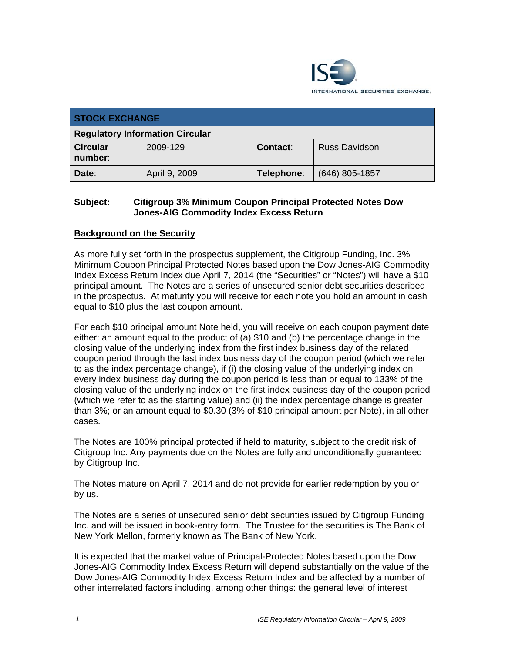

| <b>STOCK EXCHANGE</b>                  |               |            |                      |
|----------------------------------------|---------------|------------|----------------------|
| <b>Regulatory Information Circular</b> |               |            |                      |
| <b>Circular</b><br>number:             | 2009-129      | Contact:   | <b>Russ Davidson</b> |
| Date:                                  | April 9, 2009 | Telephone: | $(646)$ 805-1857     |

## **Subject: Citigroup 3% Minimum Coupon Principal Protected Notes Dow Jones-AIG Commodity Index Excess Return**

# **Background on the Security**

As more fully set forth in the prospectus supplement, the Citigroup Funding, Inc. 3% Minimum Coupon Principal Protected Notes based upon the Dow Jones-AIG Commodity Index Excess Return Index due April 7, 2014 (the "Securities" or "Notes") will have a \$10 principal amount. The Notes are a series of unsecured senior debt securities described in the prospectus. At maturity you will receive for each note you hold an amount in cash equal to \$10 plus the last coupon amount.

For each \$10 principal amount Note held, you will receive on each coupon payment date either: an amount equal to the product of (a) \$10 and (b) the percentage change in the closing value of the underlying index from the first index business day of the related coupon period through the last index business day of the coupon period (which we refer to as the index percentage change), if (i) the closing value of the underlying index on every index business day during the coupon period is less than or equal to 133% of the closing value of the underlying index on the first index business day of the coupon period (which we refer to as the starting value) and (ii) the index percentage change is greater than 3%; or an amount equal to \$0.30 (3% of \$10 principal amount per Note), in all other cases.

The Notes are 100% principal protected if held to maturity, subject to the credit risk of Citigroup Inc. Any payments due on the Notes are fully and unconditionally guaranteed by Citigroup Inc.

The Notes mature on April 7, 2014 and do not provide for earlier redemption by you or by us.

The Notes are a series of unsecured senior debt securities issued by Citigroup Funding Inc. and will be issued in book-entry form. The Trustee for the securities is The Bank of New York Mellon, formerly known as The Bank of New York.

It is expected that the market value of Principal-Protected Notes based upon the Dow Jones-AIG Commodity Index Excess Return will depend substantially on the value of the Dow Jones-AIG Commodity Index Excess Return Index and be affected by a number of other interrelated factors including, among other things: the general level of interest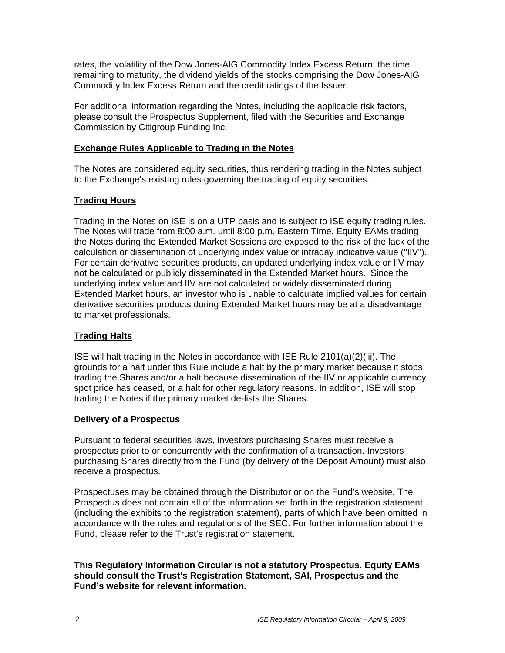rates, the volatility of the Dow Jones-AIG Commodity Index Excess Return, the time remaining to maturity, the dividend yields of the stocks comprising the Dow Jones-AIG Commodity Index Excess Return and the credit ratings of the Issuer.

For additional information regarding the Notes, including the applicable risk factors, please consult the Prospectus Supplement, filed with the Securities and Exchange Commission by Citigroup Funding Inc.

### **Exchange Rules Applicable to Trading in the Notes**

The Notes are considered equity securities, thus rendering trading in the Notes subject to the Exchange's existing rules governing the trading of equity securities.

# **Trading Hours**

Trading in the Notes on ISE is on a UTP basis and is subject to ISE equity trading rules. The Notes will trade from 8:00 a.m. until 8:00 p.m. Eastern Time. Equity EAMs trading the Notes during the Extended Market Sessions are exposed to the risk of the lack of the calculation or dissemination of underlying index value or intraday indicative value ("IIV"). For certain derivative securities products, an updated underlying index value or IIV may not be calculated or publicly disseminated in the Extended Market hours. Since the underlying index value and IIV are not calculated or widely disseminated during Extended Market hours, an investor who is unable to calculate implied values for certain derivative securities products during Extended Market hours may be at a disadvantage to market professionals.

### **Trading Halts**

ISE will halt trading in the Notes in accordance with ISE Rule 2101(a)(2)(iii). The grounds for a halt under this Rule include a halt by the primary market because it stops trading the Shares and/or a halt because dissemination of the IIV or applicable currency spot price has ceased, or a halt for other regulatory reasons. In addition, ISE will stop trading the Notes if the primary market de-lists the Shares.

### **Delivery of a Prospectus**

Pursuant to federal securities laws, investors purchasing Shares must receive a prospectus prior to or concurrently with the confirmation of a transaction. Investors purchasing Shares directly from the Fund (by delivery of the Deposit Amount) must also receive a prospectus.

Prospectuses may be obtained through the Distributor or on the Fund's website. The Prospectus does not contain all of the information set forth in the registration statement (including the exhibits to the registration statement), parts of which have been omitted in accordance with the rules and regulations of the SEC. For further information about the Fund, please refer to the Trust's registration statement.

#### **This Regulatory Information Circular is not a statutory Prospectus. Equity EAMs should consult the Trust's Registration Statement, SAI, Prospectus and the Fund's website for relevant information.**